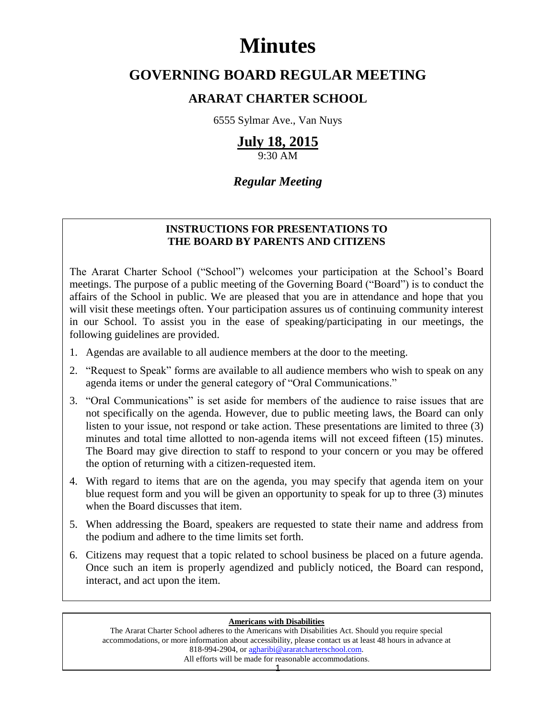# **Minutes**

# **GOVERNING BOARD REGULAR MEETING**

## **ARARAT CHARTER SCHOOL**

6555 Sylmar Ave., Van Nuys

## **July 18, 2015**

9:30 AM

## *Regular Meeting*

### **INSTRUCTIONS FOR PRESENTATIONS TO THE BOARD BY PARENTS AND CITIZENS**

The Ararat Charter School ("School") welcomes your participation at the School's Board meetings. The purpose of a public meeting of the Governing Board ("Board") is to conduct the affairs of the School in public. We are pleased that you are in attendance and hope that you will visit these meetings often. Your participation assures us of continuing community interest in our School. To assist you in the ease of speaking/participating in our meetings, the following guidelines are provided.

- 1. Agendas are available to all audience members at the door to the meeting.
- 2. "Request to Speak" forms are available to all audience members who wish to speak on any agenda items or under the general category of "Oral Communications."
- 3. "Oral Communications" is set aside for members of the audience to raise issues that are not specifically on the agenda. However, due to public meeting laws, the Board can only listen to your issue, not respond or take action. These presentations are limited to three (3) minutes and total time allotted to non-agenda items will not exceed fifteen (15) minutes. The Board may give direction to staff to respond to your concern or you may be offered the option of returning with a citizen-requested item.
- 4. With regard to items that are on the agenda, you may specify that agenda item on your blue request form and you will be given an opportunity to speak for up to three (3) minutes when the Board discusses that item.
- 5. When addressing the Board, speakers are requested to state their name and address from the podium and adhere to the time limits set forth.
- 6. Citizens may request that a topic related to school business be placed on a future agenda. Once such an item is properly agendized and publicly noticed, the Board can respond, interact, and act upon the item.

#### **Americans with Disabilities**

The Ararat Charter School adheres to the Americans with Disabilities Act. Should you require special accommodations, or more information about accessibility, please contact us at least 48 hours in advance at 818-994-2904, or [agharibi@araratcharterschool.com.](mailto:agharibi@araratcharterschool.com)  All efforts will be made for reasonable accommodations.

1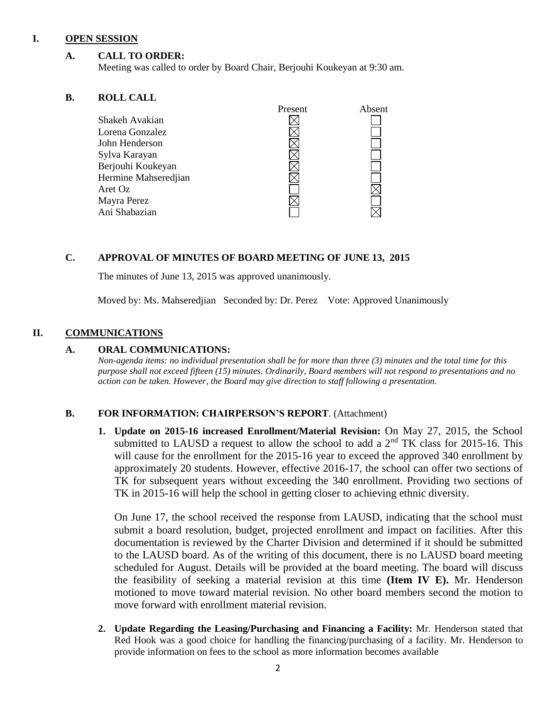#### **I. OPEN SESSION**

#### **A. CALL TO ORDER:**

Meeting was called to order by Board Chair, Berjouhi Koukeyan at 9:30 am.

#### **B. ROLL CALL**

|                      | rresent | Adsent |
|----------------------|---------|--------|
| Shakeh Avakian       |         |        |
| Lorena Gonzalez      |         |        |
| John Henderson       |         |        |
| Sylva Karayan        |         |        |
| Berjouhi Koukeyan    |         |        |
| Hermine Mahseredjian |         |        |
| Aret Oz              |         |        |
| Mayra Perez          |         |        |
| Ani Shabazian        |         |        |
|                      |         |        |

#### **C. APPROVAL OF MINUTES OF BOARD MEETING OF JUNE 13, 2015**

The minutes of June 13, 2015 was approved unanimously.

Moved by: Ms. Mahseredjian Seconded by: Dr. Perez Vote: Approved Unanimously

#### **II. COMMUNICATIONS**

#### **A. ORAL COMMUNICATIONS:**

*Non-agenda items: no individual presentation shall be for more than three (3) minutes and the total time for this purpose shall not exceed fifteen (15) minutes. Ordinarily, Board members will not respond to presentations and no action can be taken. However, the Board may give direction to staff following a presentation.*

Present Absent

#### **B. FOR INFORMATION: CHAIRPERSON'S REPORT**. (Attachment)

**1. Update on 2015-16 increased Enrollment/Material Revision:** On May 27, 2015, the School submitted to LAUSD a request to allow the school to add a  $2<sup>nd</sup> TK$  class for 2015-16. This will cause for the enrollment for the 2015-16 year to exceed the approved 340 enrollment by approximately 20 students. However, effective 2016-17, the school can offer two sections of TK for subsequent years without exceeding the 340 enrollment. Providing two sections of TK in 2015-16 will help the school in getting closer to achieving ethnic diversity.

On June 17, the school received the response from LAUSD, indicating that the school must submit a board resolution, budget, projected enrollment and impact on facilities. After this documentation is reviewed by the Charter Division and determined if it should be submitted to the LAUSD board. As of the writing of this document, there is no LAUSD board meeting scheduled for August. Details will be provided at the board meeting. The board will discuss the feasibility of seeking a material revision at this time **(Item IV E).** Mr. Henderson motioned to move toward material revision. No other board members second the motion to move forward with enrollment material revision.

**2. Update Regarding the Leasing/Purchasing and Financing a Facility:** Mr. Henderson stated that Red Hook was a good choice for handling the financing/purchasing of a facility. Mr. Henderson to provide information on fees to the school as more information becomes available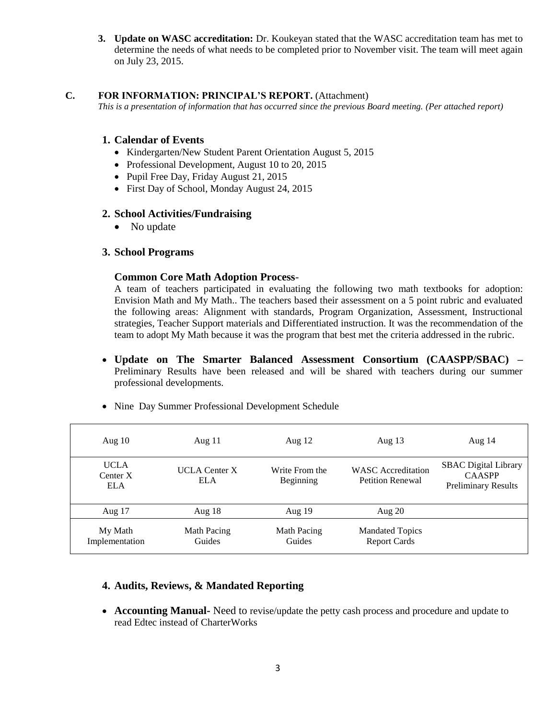**3. Update on WASC accreditation:** Dr. Koukeyan stated that the WASC accreditation team has met to determine the needs of what needs to be completed prior to November visit. The team will meet again on July 23, 2015.

#### **C. FOR INFORMATION: PRINCIPAL'S REPORT.** (Attachment)

*This is a presentation of information that has occurred since the previous Board meeting. (Per attached report)*

#### **1. Calendar of Events**

- Kindergarten/New Student Parent Orientation August 5, 2015
- Professional Development, August 10 to 20, 2015
- Pupil Free Day, Friday August 21, 2015
- First Day of School, Monday August 24, 2015

#### **2. School Activities/Fundraising**

• No update

#### **3. School Programs**

#### **Common Core Math Adoption Process**-

A team of teachers participated in evaluating the following two math textbooks for adoption: Envision Math and My Math.. The teachers based their assessment on a 5 point rubric and evaluated the following areas: Alignment with standards, Program Organization, Assessment, Instructional strategies, Teacher Support materials and Differentiated instruction. It was the recommendation of the team to adopt My Math because it was the program that best met the criteria addressed in the rubric.

 **Update on The Smarter Balanced Assessment Consortium (CAASPP/SBAC) –** Preliminary Results have been released and will be shared with teachers during our summer professional developments.

| Aug $10$                                | Aug $11$                           | Aug $12$                    | Aug $13$                                             | Aug $14$                                                                   |
|-----------------------------------------|------------------------------------|-----------------------------|------------------------------------------------------|----------------------------------------------------------------------------|
| <b>UCLA</b><br>Center $X$<br><b>ELA</b> | <b>UCLA</b> Center X<br><b>ELA</b> | Write From the<br>Beginning | <b>WASC</b> Accreditation<br><b>Petition Renewal</b> | <b>SBAC</b> Digital Library<br><b>CAASPP</b><br><b>Preliminary Results</b> |
| Aug $17$                                | Aug $18$                           | Aug $19$                    | Aug $20$                                             |                                                                            |
| My Math<br>Implementation               | Math Pacing<br>Guides              | Math Pacing<br>Guides       | <b>Mandated Topics</b><br><b>Report Cards</b>        |                                                                            |

• Nine Day Summer Professional Development Schedule

## **4. Audits, Reviews, & Mandated Reporting**

 **Accounting Manual-** Need to revise/update the petty cash process and procedure and update to read Edtec instead of CharterWorks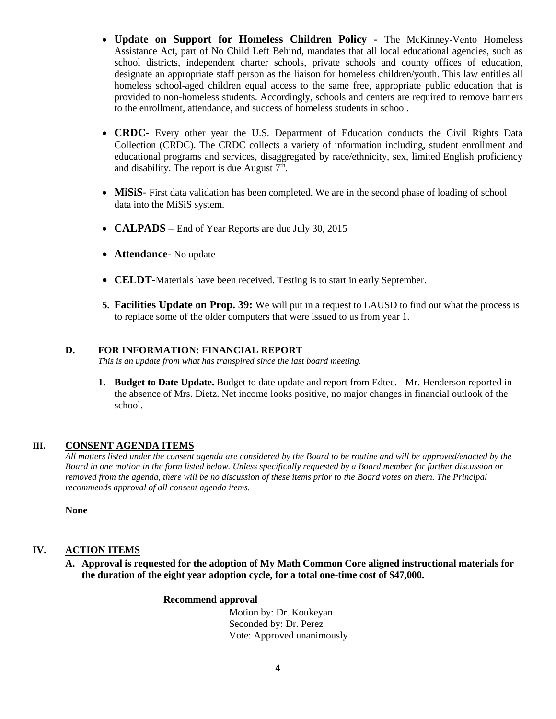- **Update on Support for Homeless Children Policy -** The McKinney-Vento Homeless Assistance Act, part of No Child Left Behind, mandates that all local educational agencies, such as school districts, independent charter schools, private schools and county offices of education, designate an appropriate staff person as the liaison for homeless children/youth. This law entitles all homeless school-aged children equal access to the same free, appropriate public education that is provided to non-homeless students. Accordingly, schools and centers are required to remove barriers to the enrollment, attendance, and success of homeless students in school.
- **CRDC** Every other year the U.S. Department of Education conducts the Civil Rights Data Collection (CRDC). The CRDC collects a variety of information including, student enrollment and educational programs and services, disaggregated by race/ethnicity, sex, limited English proficiency and disability. The report is due August  $7<sup>th</sup>$ .
- **MiSiS** First data validation has been completed. We are in the second phase of loading of school data into the MiSiS system.
- **CALPADS** End of Year Reports are due July 30, 2015
- **Attendance-** No update
- **CELDT-**Materials have been received. Testing is to start in early September.
- **5. Facilities Update on Prop. 39:** We will put in a request to LAUSD to find out what the process is to replace some of the older computers that were issued to us from year 1.

#### **D. FOR INFORMATION: FINANCIAL REPORT**

*This is an update from what has transpired since the last board meeting.*

**1. Budget to Date Update.** Budget to date update and report from Edtec. - Mr. Henderson reported in the absence of Mrs. Dietz. Net income looks positive, no major changes in financial outlook of the school.

#### **III. CONSENT AGENDA ITEMS**

*All matters listed under the consent agenda are considered by the Board to be routine and will be approved/enacted by the Board in one motion in the form listed below. Unless specifically requested by a Board member for further discussion or removed from the agenda, there will be no discussion of these items prior to the Board votes on them. The Principal recommends approval of all consent agenda items.*

**None**

#### **IV. ACTION ITEMS**

**A. Approval is requested for the adoption of My Math Common Core aligned instructional materials for the duration of the eight year adoption cycle, for a total one-time cost of \$47,000.**

#### **Recommend approval**

 Motion by: Dr. Koukeyan Seconded by: Dr. Perez Vote: Approved unanimously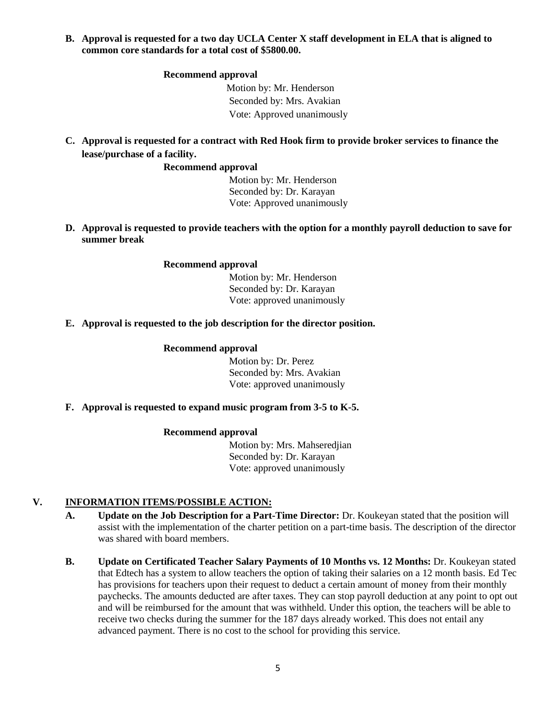**B. Approval is requested for a two day UCLA Center X staff development in ELA that is aligned to common core standards for a total cost of \$5800.00.**

#### **Recommend approval**

 Motion by: Mr. Henderson Seconded by: Mrs. Avakian Vote: Approved unanimously

**C. Approval is requested for a contract with Red Hook firm to provide broker services to finance the lease/purchase of a facility.**

#### **Recommend approval**

 Motion by: Mr. Henderson Seconded by: Dr. Karayan Vote: Approved unanimously

**D. Approval is requested to provide teachers with the option for a monthly payroll deduction to save for summer break**

#### **Recommend approval**

 Motion by: Mr. Henderson Seconded by: Dr. Karayan Vote: approved unanimously

#### **E. Approval is requested to the job description for the director position.**

#### **Recommend approval**

 Motion by: Dr. Perez Seconded by: Mrs. Avakian Vote: approved unanimously

#### **F. Approval is requested to expand music program from 3-5 to K-5.**

#### **Recommend approval**

 Motion by: Mrs. Mahseredjian Seconded by: Dr. Karayan Vote: approved unanimously

#### **V. INFORMATION ITEMS**/**POSSIBLE ACTION:**

- **A. Update on the Job Description for a Part-Time Director:** Dr. Koukeyan stated that the position will assist with the implementation of the charter petition on a part-time basis. The description of the director was shared with board members.
- **B. Update on Certificated Teacher Salary Payments of 10 Months vs. 12 Months:** Dr. Koukeyan stated that Edtech has a system to allow teachers the option of taking their salaries on a 12 month basis. Ed Tec has provisions for teachers upon their request to deduct a certain amount of money from their monthly paychecks. The amounts deducted are after taxes. They can stop payroll deduction at any point to opt out and will be reimbursed for the amount that was withheld. Under this option, the teachers will be able to receive two checks during the summer for the 187 days already worked. This does not entail any advanced payment. There is no cost to the school for providing this service.